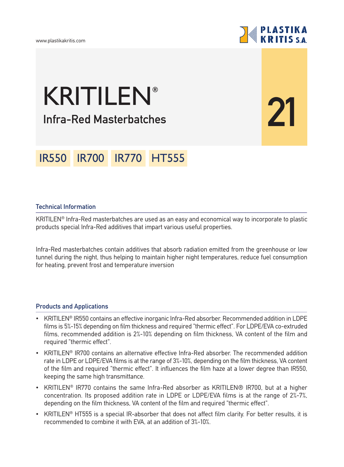

**21**

# **Infra-Red Masterbatches** KRITILEN**®**

## IR550 IR700 IR770 HT555

### **Technical Information**

KRITILEN® Infra-Red masterbatches are used as an easy and economical way to incorporate to plastic products special Infra-Red additives that impart various useful properties.

Infra-Red masterbatches contain additives that absorb radiation emitted from the greenhouse or low tunnel during the night, thus helping to maintain higher night temperatures, reduce fuel consumption for heating, prevent frost and temperature inversion

#### **Products and Applications**

- KRITILEN<sup>®</sup> IR550 contains an effective inorganic Infra-Red absorber. Recommended addition in LDPE films is 5%-15% depending on film thickness and required "thermic effect". For LDPE/EVA co-extruded films, recommended addition is 2%-10% depending on film thickness, VA content of the film and required "thermic effect".
- KRITILEN® IR700 contains an alternative effective Infra-Red absorber. The recommended addition rate in LDPE or LDPE/EVA films is at the range of 3%-10%, depending on the film thickness, VA content of the film and required "thermic effect". It influences the film haze at a lower degree than IR550, keeping the same high transmittance.
- KRITILEN<sup>®</sup> IR770 contains the same Infra-Red absorber as KRITILEN® IR700, but at a higher concentration. Its proposed addition rate in LDPE or LDPE/EVA films is at the range of 2%-7%, depending on the film thickness, VA content of the film and required "thermic effect".
- KRITILEN<sup>®</sup> HT555 is a special IR-absorber that does not affect film clarity. For better results, it is recommended to combine it with EVA, at an addition of 3%-10%.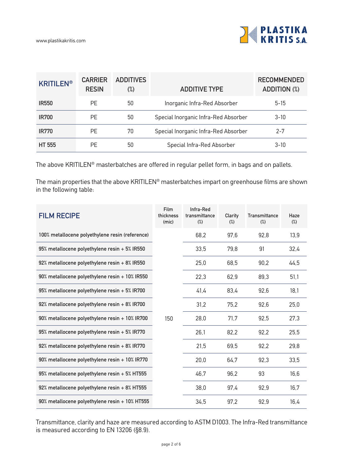

| <b>KRITILEN®</b> | <b>CARRIER</b><br><b>RESIN</b> | <b>ADDITIVES</b><br>$\binom{0}{0}$ | <b>ADDITIVE TYPE</b>                 | <b>RECOMMENDED</b><br><b>ADDITION (%)</b> |
|------------------|--------------------------------|------------------------------------|--------------------------------------|-------------------------------------------|
| <b>IR550</b>     | <b>PF</b>                      | 50                                 | Inorganic Infra-Red Absorber         | $5 - 15$                                  |
| <b>IR700</b>     | <b>PF</b>                      | 50                                 | Special Inorganic Infra-Red Absorber | $3 - 10$                                  |
| <b>IR770</b>     | PF                             | 70                                 | Special Inorganic Infra-Red Absorber | $2 - 7$                                   |
| <b>HT 555</b>    | PF                             | 50                                 | Special Infra-Red Absorber           | $3 - 10$                                  |

The above KRITILEN® masterbatches are offered in regular pellet form, in bags and on pallets.

The main properties that the above KRITILEN® masterbatches impart on greenhouse films are shown in the following table:

| <b>FILM RECIPE</b>                              | Film<br>thickness<br>(mic) | Infra-Red<br>transmittance<br>$(\%)$ | Clarity<br>$(\%)$ | <b>Transmittance</b><br>$(\%)$ | Haze<br>$(\%)$ |
|-------------------------------------------------|----------------------------|--------------------------------------|-------------------|--------------------------------|----------------|
| 100% metallocene polyethylene resin (reference) |                            | 68,2                                 | 97,6              | 92,8                           | 13,9           |
| 95% metallocene polyethylene resin + 5% IR550   |                            | 33,5                                 | 79,8              | 91                             | 32,4           |
| 92% metallocene polyethylene resin + 8% IR550   |                            | 25,0                                 | 68,5              | 90,2                           | 44,5           |
| 90% metallocene polyethylene resin + 10% IR550  |                            | 22,3                                 | 62,9              | 89,3                           | 51,1           |
| 95% metallocene polyethylene resin + 5% IR700   |                            | 41,4                                 | 83,4              | 92,6                           | 18,1           |
| 92% metallocene polyethylene resin + 8% IR700   |                            | 31,2                                 | 75,2              | 92,6                           | 25,0           |
| 90% metallocene polyethylene resin + 10% IR700  | 150                        | 28,0                                 | 71,7              | 92,5                           | 27,3           |
| 95% metallocene polyethylene resin + 5% IR770   |                            | 26,1                                 | 82,2              | 92.2                           | 25,5           |
| 92% metallocene polyethylene resin + 8% IR770   |                            | 21,5                                 | 69,5              | 92,2                           | 29,8           |
| 90% metallocene polyethylene resin + 10% IR770  |                            | 20,0                                 | 64,7              | 92,3                           | 33,5           |
| 95% metallocene polyethylene resin + 5% HT555   |                            | 46.7                                 | 96,2              | 93                             | 16,6           |
| 92% metallocene polyethylene resin + 8% HT555   |                            | 38,0                                 | 97.4              | 92,9                           | 16,7           |
| 90% metallocene polyethylene resin + 10% HT555  |                            | 34,5                                 | 97.2              | 92,9                           | 16,4           |

Transmittance, clarity and haze are measured according to ASTM D1003. The Infra-Red transmittance is measured according to EN 13206 (§8.9).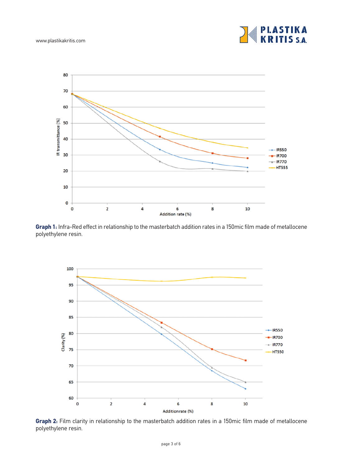www.plastikakritis.com





**Graph 1:** Infra-Red effect in relationship to the masterbatch addition rates in a 150mic film made of metallocene polyethylene resin.



**Graph 2:** Film clarity in relationship to the masterbatch addition rates in a 150mic film made of metallocene polyethylene resin.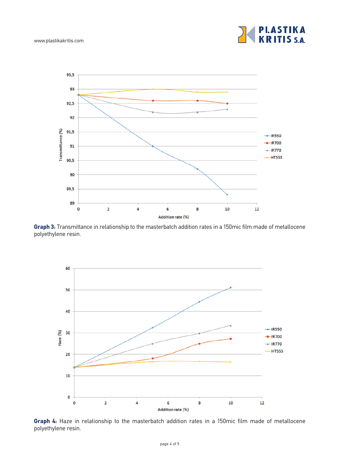



**Graph 3:** Transmittance in relationship to the masterbatch addition rates in a 150mic film made of metallocene polyethylene resin.



**Graph 4:** Haze in relationship to the masterbatch addition rates in a 150mic film made of metallocene polyethylene resin.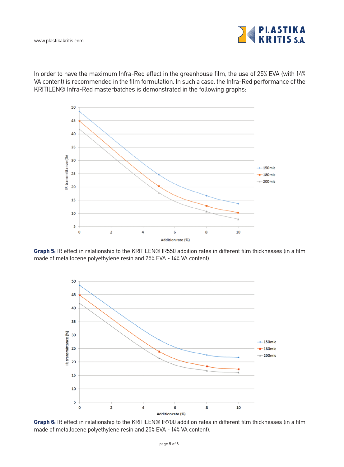

In order to have the maximum Infra-Red effect in the greenhouse film, the use of 25% EVA (with 14% VA content) is recommended in the film formulation. In such a case, the Infra-Red performance of the KRITILEN® Infra-Red masterbatches is demonstrated in the following graphs:



**Graph 5:** IR effect in relationship to the KRITILEN® IR550 addition rates in different film thicknesses (in a film made of metallocene polyethylene resin and 25% EVA - 14% VA content).



**Graph 6:** IR effect in relationship to the KRITILEN® IR700 addition rates in different film thicknesses (in a film made of metallocene polyethylene resin and 25% EVA - 14% VA content).